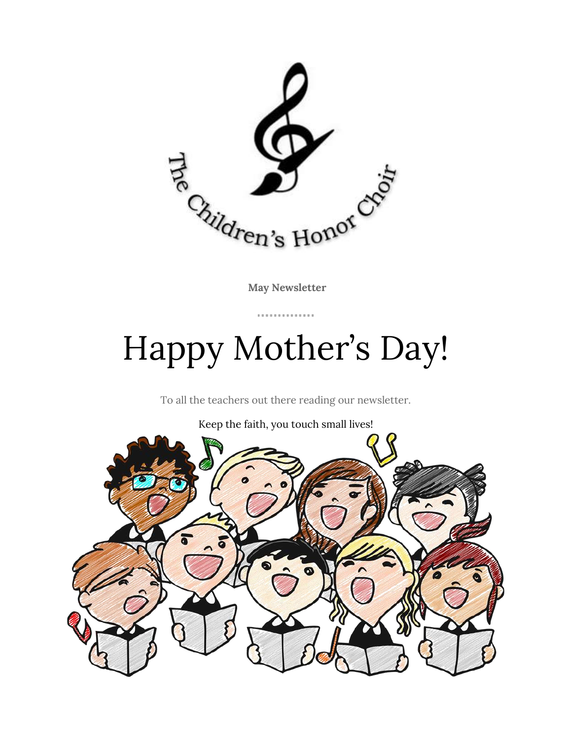

**May Newsletter**

. . . . . . . . . . . . . .

## Happy Mother's Day!

To all the teachers out there reading our newsletter.

Keep the faith, you touch small lives!

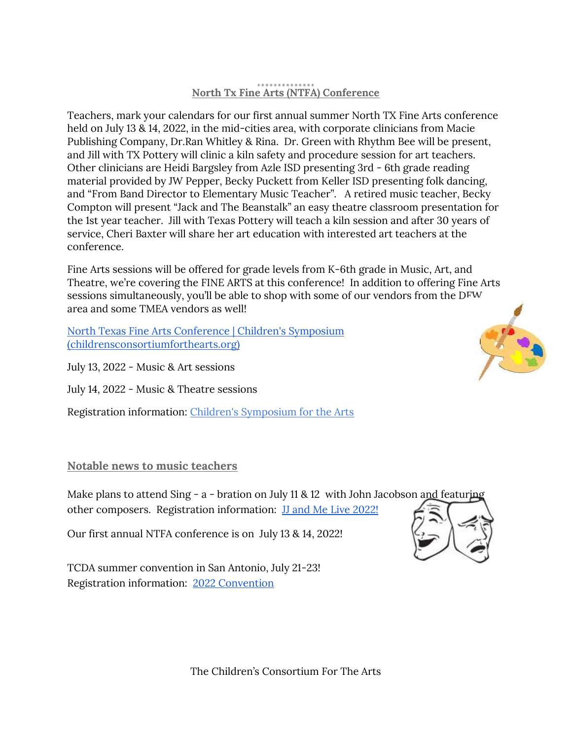## **North Tx Fine Arts (NTFA) Conference**

Teachers, mark your calendars for our first annual summer North TX Fine Arts conference held on July 13 & 14, 2022, in the mid-cities area, with corporate clinicians from Macie Publishing Company, Dr.Ran Whitley & Rina. Dr. Green with Rhythm Bee will be present, and Jill with TX Pottery will clinic a kiln safety and procedure session for art teachers. Other clinicians are Heidi Bargsley from Azle ISD presenting 3rd - 6th grade reading material provided by JW Pepper, Becky Puckett from Keller ISD presenting folk dancing, and "From Band Director to Elementary Music Teacher". A retired music teacher, Becky Compton will present "Jack and The Beanstalk" an easy theatre classroom presentation for the 1st year teacher. Jill with Texas Pottery will teach a kiln session and after 30 years of service, Cheri Baxter will share her art education with interested art teachers at the conference.

Fine Arts sessions will be offered for grade levels from K-6th grade in Music, Art, and Theatre, we're covering the FINE ARTS at this conference! In addition to offering Fine Arts sessions simultaneously, you'll be able to shop with some of our vendors from the DFW area and some TMEA vendors as well!

[North Texas Fine Arts Conference | Children's Symposium](https://www.childrensconsortiumforthearts.org/event-details/north-texas-fine-arts-conference-1)  [\(childrensconsortiumforthearts.org\)](https://www.childrensconsortiumforthearts.org/event-details/north-texas-fine-arts-conference-1)

July 13, 2022 - Music & Art sessions

July 14, 2022 - Music & Theatre sessions

Registration information: Children's [Symposium for the Arts](https://www.childrensconsortiumforthearts.org/)

## **Notable news to music teachers**

Make plans to attend Sing - a - bration on July 11 & 12 with John Jacobson and featuring other composers. Registration information: [JJ and Me Live 2022!](https://www.jjandmeinc.com/jj-and-me-live/)

Our first annual NTFA conference is on July 13 & 14, 2022!

TCDA summer convention in San Antonio, July 21-23! Registration information: [2022 Convention](https://www.tcda.net/2022-convention)